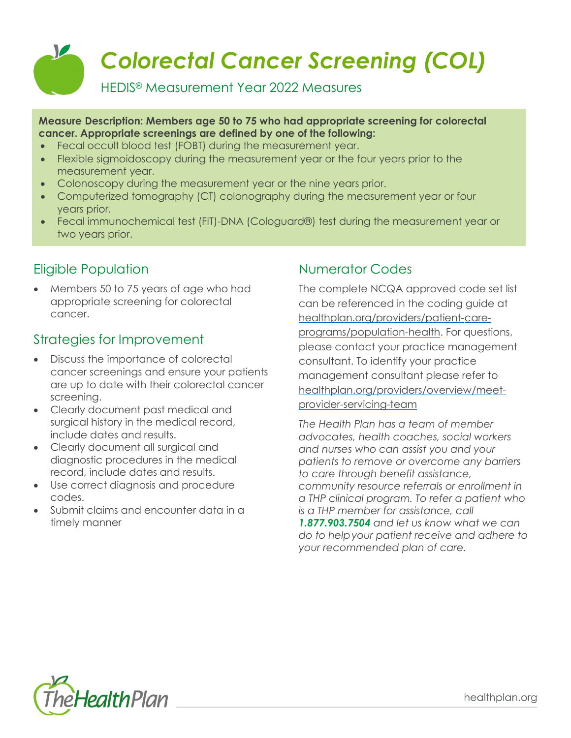

#### **Measure Description: Members age 50 to 75 who had appropriate screening for colorectal cancer. Appropriate screenings are defined by one of the following:**

- Fecal occult blood test (FOBT) during the measurement year.
- Flexible sigmoidoscopy during the measurement year or the four years prior to the measurement year.
- Colonoscopy during the measurement year or the nine years prior.
- Computerized tomography (CT) colonography during the measurement year or four years prior.
- Fecal immunochemical test (FIT)-DNA (Cologuard®) test during the measurement year or two years prior.

# Eligible Population

• Members 50 to 75 years of age who had appropriate screening for colorectal cancer.

### Strategies for Improvement

- Discuss the importance of colorectal cancer screenings and ensure your patients are up to date with their colorectal cancer screening.
- Clearly document past medical and surgical history in the medical record, include dates and results.
- Clearly document all surgical and diagnostic procedures in the medical record, include dates and results.
- Use correct diagnosis and procedure codes.
- Submit claims and encounter data in a timely manner

# Numerator Codes

The complete NCQA approved code set list can be referenced in the coding guide at [healthplan.org/providers/patient-care](https://www.healthplan.org/providers/patient-care-programs/population-health)[programs/population-health.](https://www.healthplan.org/providers/patient-care-programs/population-health) For questions, please contact your practice management consultant. To identify your practice management consultant please refer to [healthplan.org/providers/overview/meet](https://healthplan.org/providers/overview/meet-provider-servicing-team)[provider-servicing-team](https://healthplan.org/providers/overview/meet-provider-servicing-team)

*The Health Plan has a team of member advocates, health coaches, social workers and nurses who can assist you and your patients to remove or overcome any barriers to care through benefit assistance, community resource referrals or enrollment in a THP clinical program. To refer a patient who is a THP member for assistance, call 1.877.903.7504 and let us know what we can do to helpyour patient receive and adhere to your recommended plan of care.*



healthplan.org